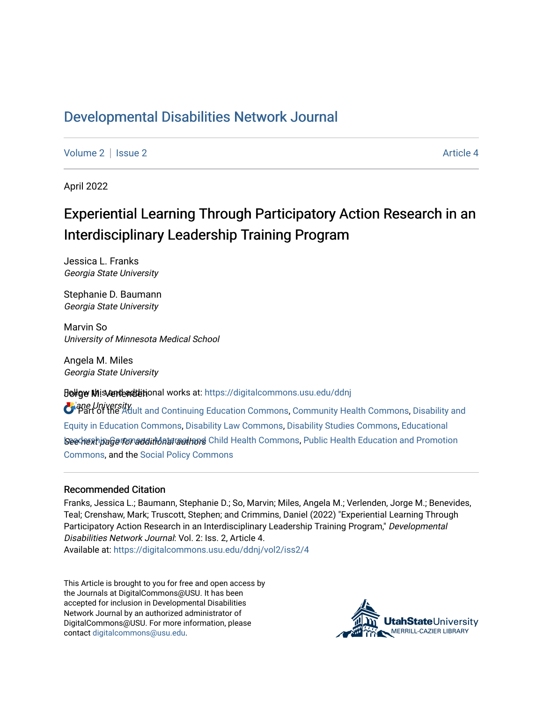## [Developmental Disabilities Network Journal](https://digitalcommons.usu.edu/ddnj)

[Volume 2](https://digitalcommons.usu.edu/ddnj/vol2) | [Issue 2](https://digitalcommons.usu.edu/ddnj/vol2/iss2) Article 4

April 2022

# Experiential Learning Through Participatory Action Research in an Interdisciplinary Leadership Training Program

Jessica L. Franks Georgia State University

Stephanie D. Baumann Georgia State University

Marvin So University of Minnesota Medical School

Angela M. Miles Georgia State University

**Joligw Mis ant additional works at: https://digitalcommons.usu.edu/ddnj** 

**T**ane University<br>**Part of the Adul**t and Continuing Education Commons, [Community Health Commons](http://network.bepress.com/hgg/discipline/714?utm_source=digitalcommons.usu.edu%2Fddnj%2Fvol2%2Fiss2%2F4&utm_medium=PDF&utm_campaign=PDFCoverPages), [Disability and](http://network.bepress.com/hgg/discipline/1040?utm_source=digitalcommons.usu.edu%2Fddnj%2Fvol2%2Fiss2%2F4&utm_medium=PDF&utm_campaign=PDFCoverPages) โระอุปาะมากต่ออย่างการเปิดในประเทศ Senathory Child Health Commons, [Public Health Education and Promotion](http://network.bepress.com/hgg/discipline/743?utm_source=digitalcommons.usu.edu%2Fddnj%2Fvol2%2Fiss2%2F4&utm_medium=PDF&utm_campaign=PDFCoverPages) [Equity in Education Commons](http://network.bepress.com/hgg/discipline/1040?utm_source=digitalcommons.usu.edu%2Fddnj%2Fvol2%2Fiss2%2F4&utm_medium=PDF&utm_campaign=PDFCoverPages), [Disability Law Commons](http://network.bepress.com/hgg/discipline/1074?utm_source=digitalcommons.usu.edu%2Fddnj%2Fvol2%2Fiss2%2F4&utm_medium=PDF&utm_campaign=PDFCoverPages), [Disability Studies Commons,](http://network.bepress.com/hgg/discipline/1417?utm_source=digitalcommons.usu.edu%2Fddnj%2Fvol2%2Fiss2%2F4&utm_medium=PDF&utm_campaign=PDFCoverPages) [Educational](http://network.bepress.com/hgg/discipline/1230?utm_source=digitalcommons.usu.edu%2Fddnj%2Fvol2%2Fiss2%2F4&utm_medium=PDF&utm_campaign=PDFCoverPages) [Commons](http://network.bepress.com/hgg/discipline/743?utm_source=digitalcommons.usu.edu%2Fddnj%2Fvol2%2Fiss2%2F4&utm_medium=PDF&utm_campaign=PDFCoverPages), and the [Social Policy Commons](http://network.bepress.com/hgg/discipline/1030?utm_source=digitalcommons.usu.edu%2Fddnj%2Fvol2%2Fiss2%2F4&utm_medium=PDF&utm_campaign=PDFCoverPages)

#### Recommended Citation

Franks, Jessica L.; Baumann, Stephanie D.; So, Marvin; Miles, Angela M.; Verlenden, Jorge M.; Benevides, Teal; Crenshaw, Mark; Truscott, Stephen; and Crimmins, Daniel (2022) "Experiential Learning Through Participatory Action Research in an Interdisciplinary Leadership Training Program," Developmental Disabilities Network Journal: Vol. 2: Iss. 2, Article 4.

Available at: [https://digitalcommons.usu.edu/ddnj/vol2/iss2/4](https://digitalcommons.usu.edu/ddnj/vol2/iss2/4?utm_source=digitalcommons.usu.edu%2Fddnj%2Fvol2%2Fiss2%2F4&utm_medium=PDF&utm_campaign=PDFCoverPages) 

This Article is brought to you for free and open access by the Journals at DigitalCommons@USU. It has been accepted for inclusion in Developmental Disabilities Network Journal by an authorized administrator of DigitalCommons@USU. For more information, please contact [digitalcommons@usu.edu](mailto:digitalcommons@usu.edu).

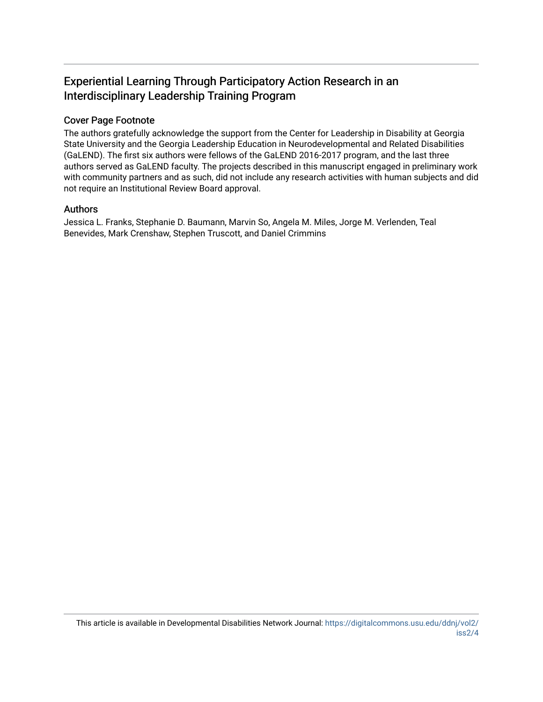## Experiential Learning Through Participatory Action Research in an Interdisciplinary Leadership Training Program

#### Cover Page Footnote

The authors gratefully acknowledge the support from the Center for Leadership in Disability at Georgia State University and the Georgia Leadership Education in Neurodevelopmental and Related Disabilities (GaLEND). The first six authors were fellows of the GaLEND 2016-2017 program, and the last three authors served as GaLEND faculty. The projects described in this manuscript engaged in preliminary work with community partners and as such, did not include any research activities with human subjects and did not require an Institutional Review Board approval.

#### Authors

Jessica L. Franks, Stephanie D. Baumann, Marvin So, Angela M. Miles, Jorge M. Verlenden, Teal Benevides, Mark Crenshaw, Stephen Truscott, and Daniel Crimmins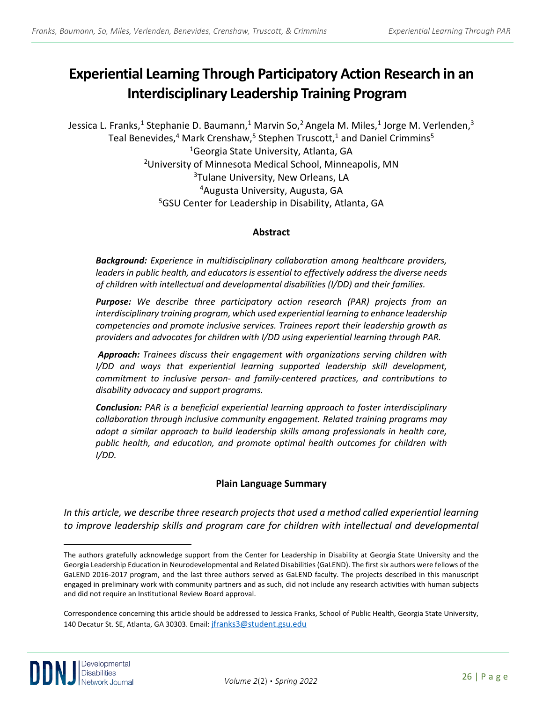# **Experiential Learning Through Participatory Action Research in an Interdisciplinary Leadership Training Program [a](#page-2-0)**

Jessica L. Franks,<sup>1</sup> Stephanie D. Baumann,<sup>1</sup> Marvin So,<sup>2</sup> Angela M. Miles,<sup>1</sup> Jorge M. Verlenden,<sup>3</sup> Teal Benevides,<sup>4</sup> Mark Crenshaw,<sup>5</sup> Stephen Truscott,<sup>1</sup> and Daniel Crimmins<sup>5</sup> <sup>1</sup>Georgia State University, Atlanta, GA<br><sup>2</sup>University of Minnesota Medical School, Minneapolis, MN <sup>3</sup>Tulane University, New Orleans, LA 4Augusta University, Augusta, GA 5GSU Center for Leadership in Disability, Atlanta, GA

#### **Abstract**

*Background: Experience in multidisciplinary collaboration among healthcare providers, leaders in public health, and educators is essential to effectively address the diverse needs of children with intellectual and developmental disabilities (I/DD) and their families.*

*Purpose: We describe three participatory action research (PAR) projects from an interdisciplinary training program, which used experiential learning to enhance leadership competencies and promote inclusive services. Trainees report their leadership growth as providers and advocates for children with I/DD using experiential learning through PAR.*

*Approach: Trainees discuss their engagement with organizations serving children with I/DD and ways that experiential learning supported leadership skill development, commitment to inclusive person- and family-centered practices, and contributions to disability advocacy and support programs.* 

*Conclusion: PAR is a beneficial experiential learning approach to foster interdisciplinary collaboration through inclusive community engagement. Related training programs may adopt a similar approach to build leadership skills among professionals in health care, public health, and education, and promote optimal health outcomes for children with I/DD.*

#### **Plain Language Summary**

*In this article, we describe three research projects that used a method called experiential learning to improve leadership skills and program care for children with intellectual and developmental* 

<span id="page-2-0"></span>The authors gratefully acknowledge support from the Center for Leadership in Disability at Georgia State University and the Georgia Leadership Education in Neurodevelopmental and Related Disabilities (GaLEND). The first six authors were fellows of the GaLEND 2016-2017 program, and the last three authors served as GaLEND faculty. The projects described in this manuscript engaged in preliminary work with community partners and as such, did not include any research activities with human subjects and did not require an Institutional Review Board approval.

Correspondence concerning this article should be addressed to Jessica Franks, School of Public Health, Georgia State University, 140 Decatur St. SE, Atlanta, GA 30303. Email: jfranks3@student.gsu.edu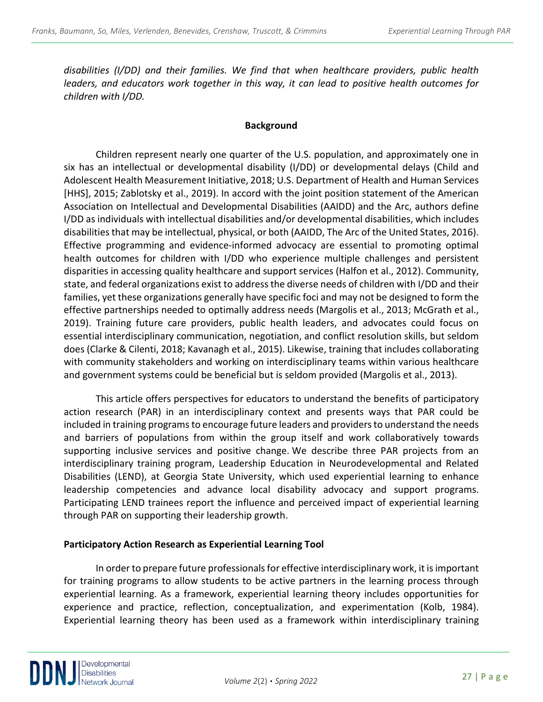*disabilities (I/DD) and their families. We find that when healthcare providers, public health leaders, and educators work together in this way, it can lead to positive health outcomes for children with I/DD.*

#### **Background**

Children represent nearly one quarter of the U.S. population, and approximately one in six has an intellectual or developmental disability (I/DD) or developmental delays (Child and Adolescent Health Measurement Initiative, 2018; U.S. Department of Health and Human Services [HHS], 2015; Zablotsky et al., 2019). In accord with the joint position statement of the American Association on Intellectual and Developmental Disabilities (AAIDD) and the Arc, authors define I/DD as individuals with intellectual disabilities and/or developmental disabilities, which includes disabilities that may be intellectual, physical, or both (AAIDD, The Arc of the United States, 2016). Effective programming and evidence-informed advocacy are essential to promoting optimal health outcomes for children with I/DD who experience multiple challenges and persistent disparities in accessing quality healthcare and support services (Halfon et al., 2012). Community, state, and federal organizations exist to address the diverse needs of children with I/DD and their families, yet these organizations generally have specific foci and may not be designed to form the effective partnerships needed to optimally address needs (Margolis et al., 2013; McGrath et al., 2019). Training future care providers, public health leaders, and advocates could focus on essential interdisciplinary communication, negotiation, and conflict resolution skills, but seldom does (Clarke & Cilenti, 2018; Kavanagh et al., 2015). Likewise, training that includes collaborating with community stakeholders and working on interdisciplinary teams within various healthcare and government systems could be beneficial but is seldom provided (Margolis et al., 2013).

This article offers perspectives for educators to understand the benefits of participatory action research (PAR) in an interdisciplinary context and presents ways that PAR could be included in training programs to encourage future leaders and providers to understand the needs and barriers of populations from within the group itself and work collaboratively towards supporting inclusive services and positive change. We describe three PAR projects from an interdisciplinary training program, Leadership Education in Neurodevelopmental and Related Disabilities (LEND), at Georgia State University, which used experiential learning to enhance leadership competencies and advance local disability advocacy and support programs. Participating LEND trainees report the influence and perceived impact of experiential learning through PAR on supporting their leadership growth.

#### **Participatory Action Research as Experiential Learning Tool**

In order to prepare future professionals for effective interdisciplinary work, it is important for training programs to allow students to be active partners in the learning process through experiential learning. As a framework, experiential learning theory includes opportunities for experience and practice, reflection, conceptualization, and experimentation (Kolb, 1984). Experiential learning theory has been used as a framework within interdisciplinary training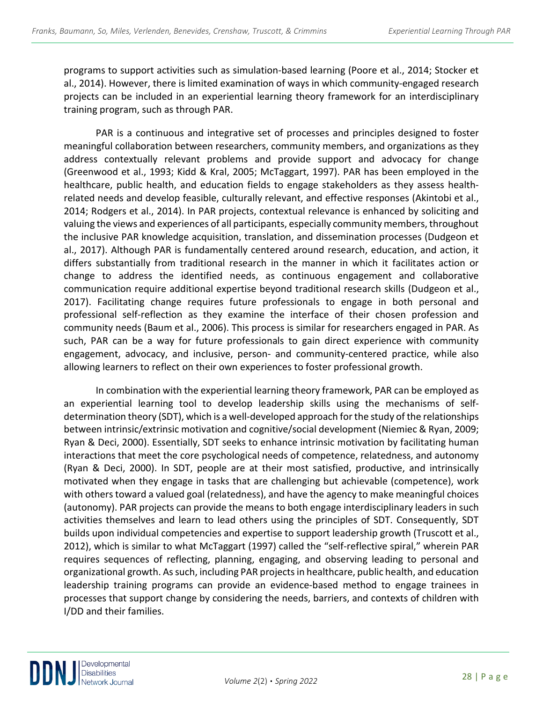programs to support activities such as simulation-based learning (Poore et al., 2014; Stocker et al., 2014). However, there is limited examination of ways in which community-engaged research projects can be included in an experiential learning theory framework for an interdisciplinary training program, such as through PAR.

PAR is a continuous and integrative set of processes and principles designed to foster meaningful collaboration between researchers, community members, and organizations as they address contextually relevant problems and provide support and advocacy for change (Greenwood et al., 1993; Kidd & Kral, 2005; McTaggart, 1997). PAR has been employed in the healthcare, public health, and education fields to engage stakeholders as they assess healthrelated needs and develop feasible, culturally relevant, and effective responses (Akintobi et al., 2014; Rodgers et al., 2014). In PAR projects, contextual relevance is enhanced by soliciting and valuing the views and experiences of all participants, especially community members, throughout the inclusive PAR knowledge acquisition, translation, and dissemination processes (Dudgeon et al., 2017). Although PAR is fundamentally centered around research, education, and action, it differs substantially from traditional research in the manner in which it facilitates action or change to address the identified needs, as continuous engagement and collaborative communication require additional expertise beyond traditional research skills (Dudgeon et al., 2017). Facilitating change requires future professionals to engage in both personal and professional self-reflection as they examine the interface of their chosen profession and community needs (Baum et al., 2006). This process is similar for researchers engaged in PAR. As such, PAR can be a way for future professionals to gain direct experience with community engagement, advocacy, and inclusive, person- and community-centered practice, while also allowing learners to reflect on their own experiences to foster professional growth.

In combination with the experiential learning theory framework, PAR can be employed as an experiential learning tool to develop leadership skills using the mechanisms of selfdetermination theory (SDT), which is a well-developed approach for the study of the relationships between intrinsic/extrinsic motivation and cognitive/social development (Niemiec & Ryan, 2009; Ryan & Deci, 2000). Essentially, SDT seeks to enhance intrinsic motivation by facilitating human interactions that meet the core psychological needs of competence, relatedness, and autonomy (Ryan & Deci, 2000). In SDT, people are at their most satisfied, productive, and intrinsically motivated when they engage in tasks that are challenging but achievable (competence), work with others toward a valued goal (relatedness), and have the agency to make meaningful choices (autonomy). PAR projects can provide the means to both engage interdisciplinary leaders in such activities themselves and learn to lead others using the principles of SDT. Consequently, SDT builds upon individual competencies and expertise to support leadership growth (Truscott et al., 2012), which is similar to what McTaggart (1997) called the "self-reflective spiral," wherein PAR requires sequences of reflecting, planning, engaging, and observing leading to personal and organizational growth. As such, including PAR projects in healthcare, public health, and education leadership training programs can provide an evidence-based method to engage trainees in processes that support change by considering the needs, barriers, and contexts of children with I/DD and their families.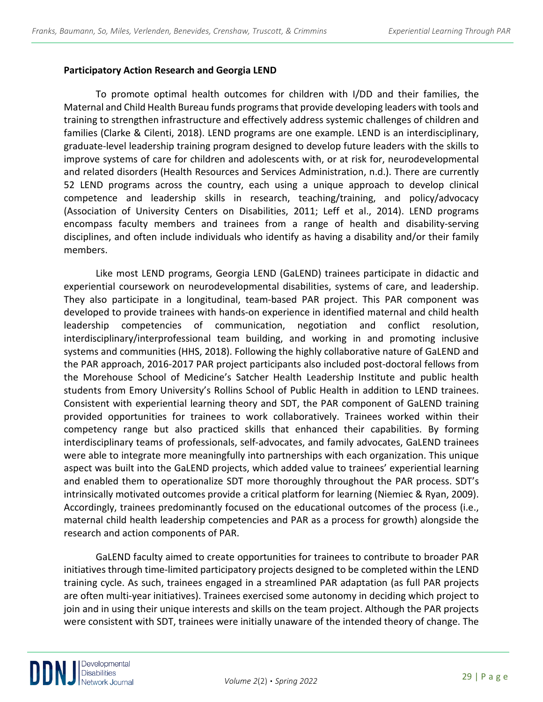#### **Participatory Action Research and Georgia LEND**

To promote optimal health outcomes for children with I/DD and their families, the Maternal and Child Health Bureau funds programs that provide developing leaders with tools and training to strengthen infrastructure and effectively address systemic challenges of children and families (Clarke & Cilenti, 2018). LEND programs are one example. LEND is an interdisciplinary, graduate-level leadership training program designed to develop future leaders with the skills to improve systems of care for children and adolescents with, or at risk for, neurodevelopmental and related disorders (Health Resources and Services Administration, n.d.). There are currently 52 LEND programs across the country, each using a unique approach to develop clinical competence and leadership skills in research, teaching/training, and policy/advocacy (Association of University Centers on Disabilities, 2011; Leff et al., 2014). LEND programs encompass faculty members and trainees from a range of health and disability-serving disciplines, and often include individuals who identify as having a disability and/or their family members.

Like most LEND programs, Georgia LEND (GaLEND) trainees participate in didactic and experiential coursework on neurodevelopmental disabilities, systems of care, and leadership. They also participate in a longitudinal, team-based PAR project. This PAR component was developed to provide trainees with hands-on experience in identified maternal and child health leadership competencies of communication, negotiation and conflict resolution, interdisciplinary/interprofessional team building, and working in and promoting inclusive systems and communities (HHS, 2018). Following the highly collaborative nature of GaLEND and the PAR approach, 2016-2017 PAR project participants also included post-doctoral fellows from the Morehouse School of Medicine's Satcher Health Leadership Institute and public health students from Emory University's Rollins School of Public Health in addition to LEND trainees. Consistent with experiential learning theory and SDT, the PAR component of GaLEND training provided opportunities for trainees to work collaboratively. Trainees worked within their competency range but also practiced skills that enhanced their capabilities. By forming interdisciplinary teams of professionals, self-advocates, and family advocates, GaLEND trainees were able to integrate more meaningfully into partnerships with each organization. This unique aspect was built into the GaLEND projects, which added value to trainees' experiential learning and enabled them to operationalize SDT more thoroughly throughout the PAR process. SDT's intrinsically motivated outcomes provide a critical platform for learning (Niemiec & Ryan, 2009). Accordingly, trainees predominantly focused on the educational outcomes of the process (i.e., maternal child health leadership competencies and PAR as a process for growth) alongside the research and action components of PAR.

GaLEND faculty aimed to create opportunities for trainees to contribute to broader PAR initiatives through time-limited participatory projects designed to be completed within the LEND training cycle. As such, trainees engaged in a streamlined PAR adaptation (as full PAR projects are often multi-year initiatives). Trainees exercised some autonomy in deciding which project to join and in using their unique interests and skills on the team project. Although the PAR projects were consistent with SDT, trainees were initially unaware of the intended theory of change. The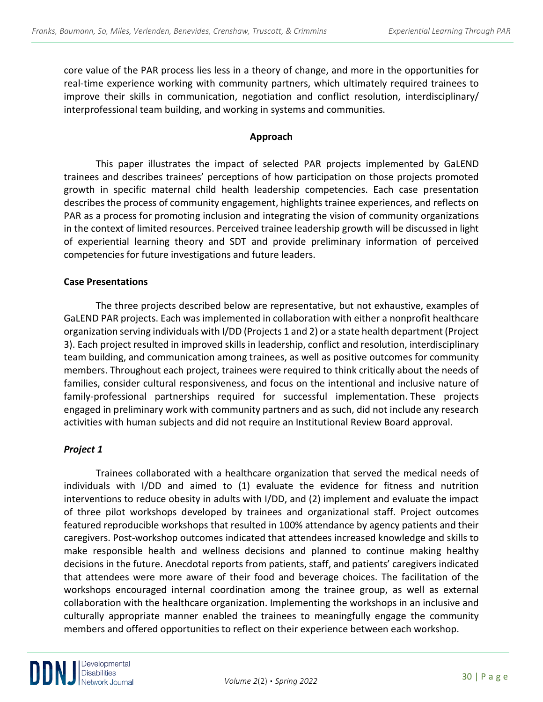core value of the PAR process lies less in a theory of change, and more in the opportunities for real-time experience working with community partners, which ultimately required trainees to improve their skills in communication, negotiation and conflict resolution, interdisciplinary/ interprofessional team building, and working in systems and communities.

#### **Approach**

This paper illustrates the impact of selected PAR projects implemented by GaLEND trainees and describes trainees' perceptions of how participation on those projects promoted growth in specific maternal child health leadership competencies. Each case presentation describes the process of community engagement, highlights trainee experiences, and reflects on PAR as a process for promoting inclusion and integrating the vision of community organizations in the context of limited resources. Perceived trainee leadership growth will be discussed in light of experiential learning theory and SDT and provide preliminary information of perceived competencies for future investigations and future leaders.

#### **Case Presentations**

The three projects described below are representative, but not exhaustive, examples of GaLEND PAR projects. Each was implemented in collaboration with either a nonprofit healthcare organization serving individuals with I/DD (Projects 1 and 2) or a state health department (Project 3). Each project resulted in improved skills in leadership, conflict and resolution, interdisciplinary team building, and communication among trainees, as well as positive outcomes for community members. Throughout each project, trainees were required to think critically about the needs of families, consider cultural responsiveness, and focus on the intentional and inclusive nature of family-professional partnerships required for successful implementation. These projects engaged in preliminary work with community partners and as such, did not include any research activities with human subjects and did not require an Institutional Review Board approval.

#### *Project 1*

Trainees collaborated with a healthcare organization that served the medical needs of individuals with I/DD and aimed to (1) evaluate the evidence for fitness and nutrition interventions to reduce obesity in adults with I/DD, and (2) implement and evaluate the impact of three pilot workshops developed by trainees and organizational staff. Project outcomes featured reproducible workshops that resulted in 100% attendance by agency patients and their caregivers. Post-workshop outcomes indicated that attendees increased knowledge and skills to make responsible health and wellness decisions and planned to continue making healthy decisions in the future. Anecdotal reports from patients, staff, and patients' caregivers indicated that attendees were more aware of their food and beverage choices. The facilitation of the workshops encouraged internal coordination among the trainee group, as well as external collaboration with the healthcare organization. Implementing the workshops in an inclusive and culturally appropriate manner enabled the trainees to meaningfully engage the community members and offered opportunities to reflect on their experience between each workshop.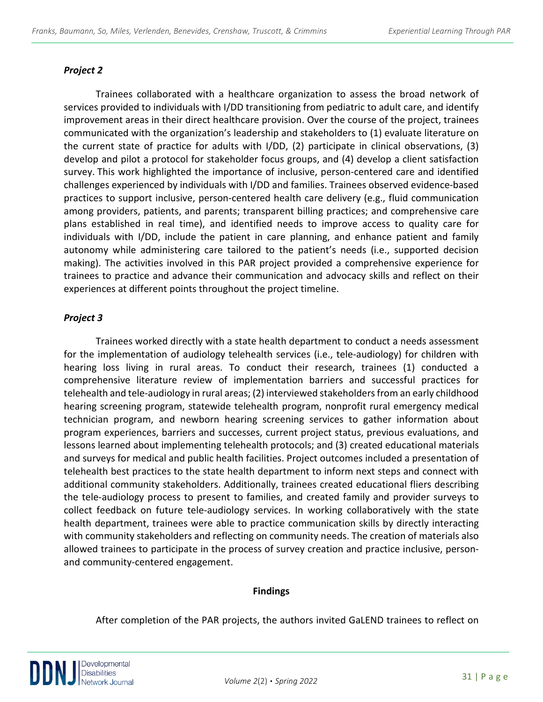### *Project 2*

Trainees collaborated with a healthcare organization to assess the broad network of services provided to individuals with I/DD transitioning from pediatric to adult care, and identify improvement areas in their direct healthcare provision. Over the course of the project, trainees communicated with the organization's leadership and stakeholders to (1) evaluate literature on the current state of practice for adults with I/DD, (2) participate in clinical observations, (3) develop and pilot a protocol for stakeholder focus groups, and (4) develop a client satisfaction survey. This work highlighted the importance of inclusive, person-centered care and identified challenges experienced by individuals with I/DD and families. Trainees observed evidence-based practices to support inclusive, person-centered health care delivery (e.g., fluid communication among providers, patients, and parents; transparent billing practices; and comprehensive care plans established in real time), and identified needs to improve access to quality care for individuals with I/DD, include the patient in care planning, and enhance patient and family autonomy while administering care tailored to the patient's needs (i.e., supported decision making). The activities involved in this PAR project provided a comprehensive experience for trainees to practice and advance their communication and advocacy skills and reflect on their experiences at different points throughout the project timeline.

### *Project 3*

Trainees worked directly with a state health department to conduct a needs assessment for the implementation of audiology telehealth services (i.e., tele-audiology) for children with hearing loss living in rural areas. To conduct their research, trainees (1) conducted a comprehensive literature review of implementation barriers and successful practices for telehealth and tele-audiology in rural areas; (2) interviewed stakeholders from an early childhood hearing screening program, statewide telehealth program, nonprofit rural emergency medical technician program, and newborn hearing screening services to gather information about program experiences, barriers and successes, current project status, previous evaluations, and lessons learned about implementing telehealth protocols; and (3) created educational materials and surveys for medical and public health facilities. Project outcomes included a presentation of telehealth best practices to the state health department to inform next steps and connect with additional community stakeholders. Additionally, trainees created educational fliers describing the tele-audiology process to present to families, and created family and provider surveys to collect feedback on future tele-audiology services. In working collaboratively with the state health department, trainees were able to practice communication skills by directly interacting with community stakeholders and reflecting on community needs. The creation of materials also allowed trainees to participate in the process of survey creation and practice inclusive, personand community-centered engagement.

#### **Findings**

After completion of the PAR projects, the authors invited GaLEND trainees to reflect on

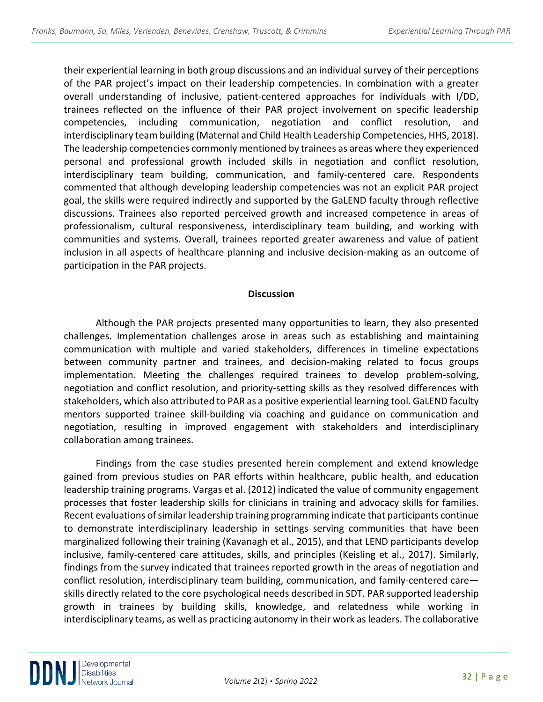their experiential learning in both group discussions and an individual survey of their perceptions of the PAR project's impact on their leadership competencies. In combination with a greater overall understanding of inclusive, patient-centered approaches for individuals with I/DD, trainees reflected on the influence of their PAR project involvement on specific leadership competencies, including communication, negotiation and conflict resolution, and interdisciplinary team building (Maternal and Child Health Leadership Competencies, HHS, 2018). The leadership competencies commonly mentioned by trainees as areas where they experienced personal and professional growth included skills in negotiation and conflict resolution, interdisciplinary team building, communication, and family-centered care. Respondents commented that although developing leadership competencies was not an explicit PAR project goal, the skills were required indirectly and supported by the GaLEND faculty through reflective discussions. Trainees also reported perceived growth and increased competence in areas of professionalism, cultural responsiveness, interdisciplinary team building, and working with communities and systems. Overall, trainees reported greater awareness and value of patient inclusion in all aspects of healthcare planning and inclusive decision-making as an outcome of participation in the PAR projects.

#### **Discussion**

Although the PAR projects presented many opportunities to learn, they also presented challenges. Implementation challenges arose in areas such as establishing and maintaining communication with multiple and varied stakeholders, differences in timeline expectations between community partner and trainees, and decision-making related to focus groups implementation. Meeting the challenges required trainees to develop problem-solving, negotiation and conflict resolution, and priority-setting skills as they resolved differences with stakeholders, which also attributed to PAR as a positive experiential learning tool. GaLEND faculty mentors supported trainee skill-building via coaching and guidance on communication and negotiation, resulting in improved engagement with stakeholders and interdisciplinary collaboration among trainees.

Findings from the case studies presented herein complement and extend knowledge gained from previous studies on PAR efforts within healthcare, public health, and education leadership training programs. Vargas et al. (2012) indicated the value of community engagement processes that foster leadership skills for clinicians in training and advocacy skills for families. Recent evaluations of similar leadership training programming indicate that participants continue to demonstrate interdisciplinary leadership in settings serving communities that have been marginalized following their training (Kavanagh et al., 2015), and that LEND participants develop inclusive, family-centered care attitudes, skills, and principles (Keisling et al., 2017). Similarly, findings from the survey indicated that trainees reported growth in the areas of negotiation and conflict resolution, interdisciplinary team building, communication, and family-centered care skills directly related to the core psychological needs described in SDT. PAR supported leadership growth in trainees by building skills, knowledge, and relatedness while working in interdisciplinary teams, as well as practicing autonomy in their work as leaders. The collaborative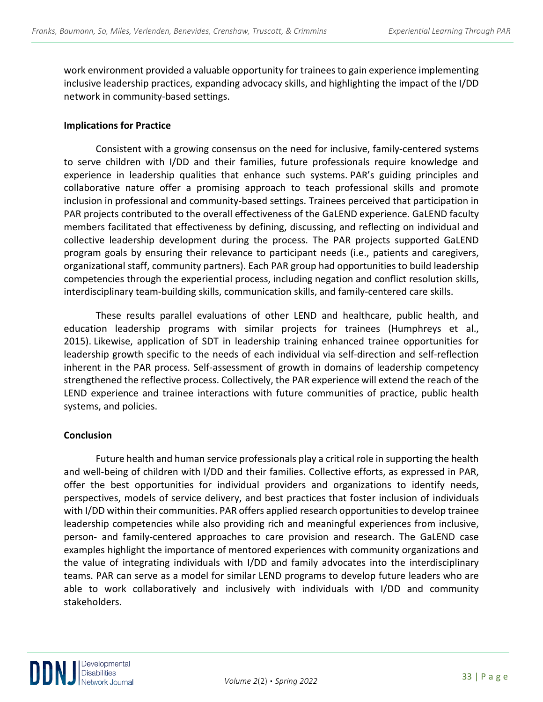work environment provided a valuable opportunity for trainees to gain experience implementing inclusive leadership practices, expanding advocacy skills, and highlighting the impact of the I/DD network in community-based settings.

#### **Implications for Practice**

Consistent with a growing consensus on the need for inclusive, family-centered systems to serve children with I/DD and their families, future professionals require knowledge and experience in leadership qualities that enhance such systems. PAR's guiding principles and collaborative nature offer a promising approach to teach professional skills and promote inclusion in professional and community-based settings. Trainees perceived that participation in PAR projects contributed to the overall effectiveness of the GaLEND experience. GaLEND faculty members facilitated that effectiveness by defining, discussing, and reflecting on individual and collective leadership development during the process. The PAR projects supported GaLEND program goals by ensuring their relevance to participant needs (i.e., patients and caregivers, organizational staff, community partners). Each PAR group had opportunities to build leadership competencies through the experiential process, including negation and conflict resolution skills, interdisciplinary team-building skills, communication skills, and family-centered care skills.

These results parallel evaluations of other LEND and healthcare, public health, and education leadership programs with similar projects for trainees (Humphreys et al., 2015). Likewise, application of SDT in leadership training enhanced trainee opportunities for leadership growth specific to the needs of each individual via self-direction and self-reflection inherent in the PAR process. Self-assessment of growth in domains of leadership competency strengthened the reflective process. Collectively, the PAR experience will extend the reach of the LEND experience and trainee interactions with future communities of practice, public health systems, and policies.

#### **Conclusion**

Future health and human service professionals play a critical role in supporting the health and well-being of children with I/DD and their families. Collective efforts, as expressed in PAR, offer the best opportunities for individual providers and organizations to identify needs, perspectives, models of service delivery, and best practices that foster inclusion of individuals with I/DD within their communities. PAR offers applied research opportunities to develop trainee leadership competencies while also providing rich and meaningful experiences from inclusive, person- and family-centered approaches to care provision and research. The GaLEND case examples highlight the importance of mentored experiences with community organizations and the value of integrating individuals with I/DD and family advocates into the interdisciplinary teams. PAR can serve as a model for similar LEND programs to develop future leaders who are able to work collaboratively and inclusively with individuals with I/DD and community stakeholders.

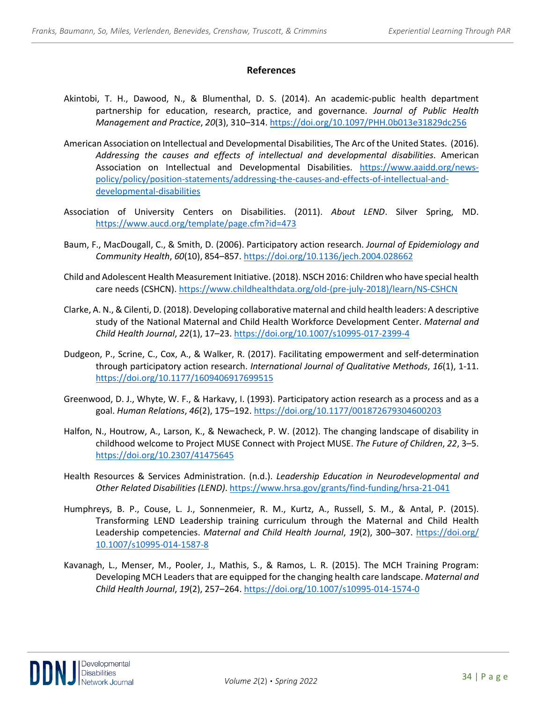#### **References**

- Akintobi, T. H., Dawood, N., & Blumenthal, D. S. (2014). An academic-public health department partnership for education, research, practice, and governance. *Journal of Public Health Management and Practice*, *20*(3), 310–314.<https://doi.org/10.1097/PHH.0b013e31829dc256>
- American Association on Intellectual and Developmental Disabilities, The Arc of the United States. (2016). *Addressing the causes and effects of intellectual and developmental disabilities*. American Association on Intellectual and Developmental Disabilities. [https://www.aaidd.org/news](https://www.aaidd.org/news-policy/policy/position-statements/addressing-the-causes-and-effects-of-intellectual-and-developmental-disabilities)[policy/policy/position-statements/addressing-the-causes-and-effects-of-intellectual-and](https://www.aaidd.org/news-policy/policy/position-statements/addressing-the-causes-and-effects-of-intellectual-and-developmental-disabilities)[developmental-disabilities](https://www.aaidd.org/news-policy/policy/position-statements/addressing-the-causes-and-effects-of-intellectual-and-developmental-disabilities)
- Association of University Centers on Disabilities. (2011). *About LEND*. Silver Spring, MD. <https://www.aucd.org/template/page.cfm?id=473>
- Baum, F., MacDougall, C., & Smith, D. (2006). Participatory action research. *Journal of Epidemiology and Community Health*, *60*(10), 854–857.<https://doi.org/10.1136/jech.2004.028662>
- Child and Adolescent Health Measurement Initiative. (2018). NSCH 2016: Children who have special health care needs (CSHCN)[. https://www.childhealthdata.org/old-\(pre-july-2018\)/learn/NS-CSHCN](https://www.childhealthdata.org/old-(pre-july-2018)/learn/NS-CSHCN)
- Clarke, A. N., & Cilenti, D. (2018). Developing collaborative maternal and child health leaders: A descriptive study of the National Maternal and Child Health Workforce Development Center. *Maternal and Child Health Journal*, *22*(1), 17–23.<https://doi.org/10.1007/s10995-017-2399-4>
- Dudgeon, P., Scrine, C., Cox, A., & Walker, R. (2017). Facilitating empowerment and self-determination through participatory action research. *International Journal of Qualitative Methods*, *16*(1), 1-11. <https://doi.org/10.1177/1609406917699515>
- Greenwood, D. J., Whyte, W. F., & Harkavy, I. (1993). Participatory action research as a process and as a goal. *Human Relations*, *46*(2), 175–192.<https://doi.org/10.1177/001872679304600203>
- Halfon, N., Houtrow, A., Larson, K., & Newacheck, P. W. (2012). The changing landscape of disability in childhood welcome to Project MUSE Connect with Project MUSE. *The Future of Children*, *22*, 3–5. <https://doi.org/10.2307/41475645>
- Health Resources & Services Administration. (n.d.). *Leadership Education in Neurodevelopmental and Other Related Disabilities (LEND)*.<https://www.hrsa.gov/grants/find-funding/hrsa-21-041>
- Humphreys, B. P., Couse, L. J., Sonnenmeier, R. M., Kurtz, A., Russell, S. M., & Antal, P. (2015). Transforming LEND Leadership training curriculum through the Maternal and Child Health Leadership competencies. *Maternal and Child Health Journal*, *19*(2), 300–307. [https://doi.org/](https://doi.org/%2010.1007/s10995-014-1587-8)  [10.1007/s10995-014-1587-8](https://doi.org/%2010.1007/s10995-014-1587-8)
- Kavanagh, L., Menser, M., Pooler, J., Mathis, S., & Ramos, L. R. (2015). The MCH Training Program: Developing MCH Leaders that are equipped for the changing health care landscape. *Maternal and Child Health Journal*, *19*(2), 257–264.<https://doi.org/10.1007/s10995-014-1574-0>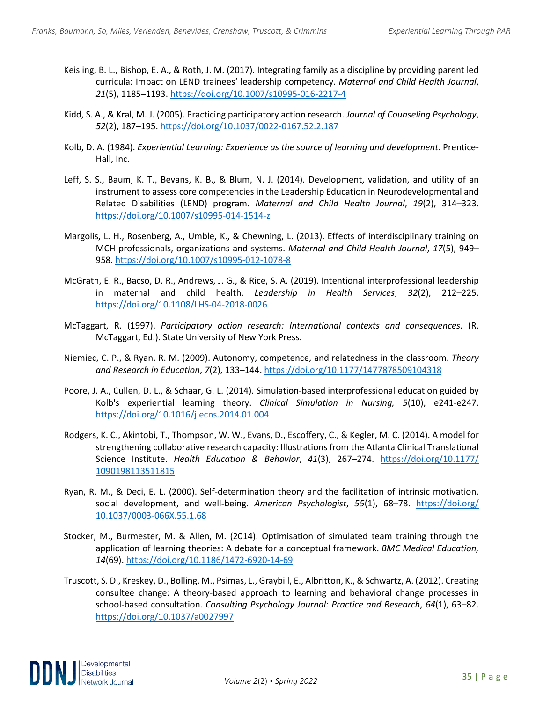- Keisling, B. L., Bishop, E. A., & Roth, J. M. (2017). Integrating family as a discipline by providing parent led curricula: Impact on LEND trainees' leadership competency. *Maternal and Child Health Journal*, *21*(5), 1185–1193.<https://doi.org/10.1007/s10995-016-2217-4>
- Kidd, S. A., & Kral, M. J. (2005). Practicing participatory action research. *Journal of Counseling Psychology*, *52*(2), 187–195.<https://doi.org/10.1037/0022-0167.52.2.187>
- Kolb, D. A. (1984). *Experiential Learning: Experience as the source of learning and development.* Prentice-Hall, Inc.
- Leff, S. S., Baum, K. T., Bevans, K. B., & Blum, N. J. (2014). Development, validation, and utility of an instrument to assess core competencies in the Leadership Education in Neurodevelopmental and Related Disabilities (LEND) program. *Maternal and Child Health Journal*, *19*(2), 314–323. <https://doi.org/10.1007/s10995-014-1514-z>
- Margolis, L. H., Rosenberg, A., Umble, K., & Chewning, L. (2013). Effects of interdisciplinary training on MCH professionals, organizations and systems. *Maternal and Child Health Journal*, *17*(5), 949– 958.<https://doi.org/10.1007/s10995-012-1078-8>
- McGrath, E. R., Bacso, D. R., Andrews, J. G., & Rice, S. A. (2019). Intentional interprofessional leadership in maternal and child health. *Leadership in Health Services*, *32*(2), 212–225. <https://doi.org/10.1108/LHS-04-2018-0026>
- McTaggart, R. (1997). *Participatory action research: International contexts and consequences*. (R. McTaggart, Ed.). State University of New York Press.
- Niemiec, C. P., & Ryan, R. M. (2009). Autonomy, competence, and relatedness in the classroom. *Theory and Research in Education*, *7*(2), 133–144.<https://doi.org/10.1177/1477878509104318>
- Poore, J. A., Cullen, D. L., & Schaar, G. L. (2014). Simulation-based interprofessional education guided by Kolb's experiential learning theory. *Clinical Simulation in Nursing, 5*(10), e241-e247. <https://doi.org/10.1016/j.ecns.2014.01.004>
- Rodgers, K. C., Akintobi, T., Thompson, W. W., Evans, D., Escoffery, C., & Kegler, M. C. (2014). A model for strengthening collaborative research capacity: Illustrations from the Atlanta Clinical Translational Science Institute. *Health Education & Behavior*, *41*(3), 267–274. [https://doi.org/10.1177/](https://doi.org/10.1177/%201090198113511815)  [1090198113511815](https://doi.org/10.1177/%201090198113511815)
- Ryan, R. M., & Deci, E. L. (2000). Self-determination theory and the facilitation of intrinsic motivation, social development, and well-being. *American Psychologist*, *55*(1), 68–78. [https://doi.org/](https://doi.org/%2010.1037/0003-066X.55.1.68)  [10.1037/0003-066X.55.1.68](https://doi.org/%2010.1037/0003-066X.55.1.68)
- Stocker, M., Burmester, M. & Allen, M. (2014). Optimisation of simulated team training through the application of learning theories: A debate for a conceptual framework. *BMC Medical Education, 14*(69).<https://doi.org/10.1186/1472-6920-14-69>
- Truscott, S. D., Kreskey, D., Bolling, M., Psimas, L., Graybill, E., Albritton, K., & Schwartz, A. (2012). Creating consultee change: A theory-based approach to learning and behavioral change processes in school-based consultation. *Consulting Psychology Journal: Practice and Research*, *64*(1), 63–82. <https://doi.org/10.1037/a0027997>